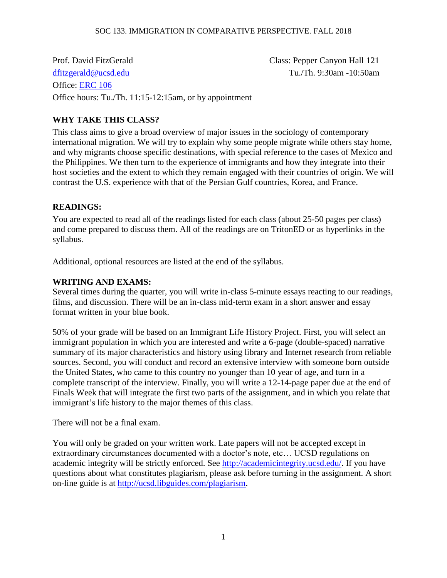Prof. David FitzGerald Class: Pepper Canyon Hall 121 [dfitzgerald@ucsd.edu](mailto:dfitzgerald@ucsd.edu) Tu./Th. 9:30am -10:50am Office: [ERC](http://ccis.ucsd.edu/about/directions.html) 106 Office hours: Tu./Th. 11:15-12:15am, or by appointment

# **WHY TAKE THIS CLASS?**

This class aims to give a broad overview of major issues in the sociology of contemporary international migration. We will try to explain why some people migrate while others stay home, and why migrants choose specific destinations, with special reference to the cases of Mexico and the Philippines. We then turn to the experience of immigrants and how they integrate into their host societies and the extent to which they remain engaged with their countries of origin. We will contrast the U.S. experience with that of the Persian Gulf countries, Korea, and France.

#### **READINGS:**

You are expected to read all of the readings listed for each class (about 25-50 pages per class) and come prepared to discuss them. All of the readings are on TritonED or as hyperlinks in the syllabus.

Additional, optional resources are listed at the end of the syllabus.

#### **WRITING AND EXAMS:**

Several times during the quarter, you will write in-class 5-minute essays reacting to our readings, films, and discussion. There will be an in-class mid-term exam in a short answer and essay format written in your blue book.

50% of your grade will be based on an Immigrant Life History Project. First, you will select an immigrant population in which you are interested and write a 6-page (double-spaced) narrative summary of its major characteristics and history using library and Internet research from reliable sources. Second, you will conduct and record an extensive interview with someone born outside the United States, who came to this country no younger than 10 year of age, and turn in a complete transcript of the interview. Finally, you will write a 12-14-page paper due at the end of Finals Week that will integrate the first two parts of the assignment, and in which you relate that immigrant's life history to the major themes of this class.

There will not be a final exam.

You will only be graded on your written work. Late papers will not be accepted except in extraordinary circumstances documented with a doctor's note, etc… UCSD regulations on academic integrity will be strictly enforced. See [http://academicintegrity.ucsd.edu/.](http://academicintegrity.ucsd.edu/) If you have questions about what constitutes plagiarism, please ask before turning in the assignment. A short on-line guide is at [http://ucsd.libguides.com/plagiarism.](http://ucsd.libguides.com/plagiarism)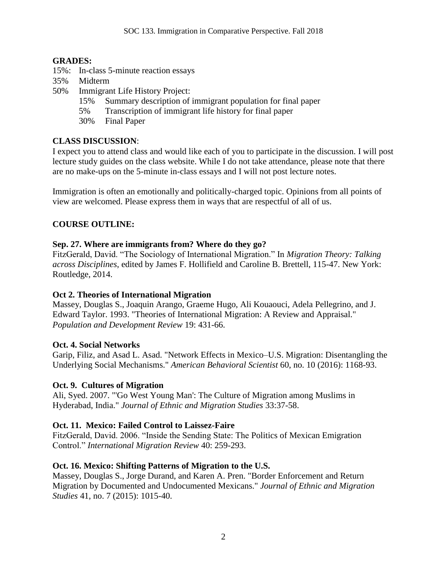# **GRADES:**

- 15%: In-class 5-minute reaction essays
- 35% Midterm
- 50% Immigrant Life History Project:
	- 15% Summary description of immigrant population for final paper
	- 5% Transcription of immigrant life history for final paper
	- 30% Final Paper

# **CLASS DISCUSSION**:

I expect you to attend class and would like each of you to participate in the discussion. I will post lecture study guides on the class website. While I do not take attendance, please note that there are no make-ups on the 5-minute in-class essays and I will not post lecture notes.

Immigration is often an emotionally and politically-charged topic. Opinions from all points of view are welcomed. Please express them in ways that are respectful of all of us.

# **COURSE OUTLINE:**

# **Sep. 27. Where are immigrants from? Where do they go?**

FitzGerald, David. "The Sociology of International Migration." In *Migration Theory: Talking across Disciplines*, edited by James F. Hollifield and Caroline B. Brettell, 115-47. New York: Routledge, 2014.

# **Oct 2. Theories of International Migration**

Massey, Douglas S., Joaquin Arango, Graeme Hugo, Ali Kouaouci, Adela Pellegrino, and J. Edward Taylor. 1993. "Theories of International Migration: A Review and Appraisal." *Population and Development Review* 19: 431-66.

# **Oct. 4. Social Networks**

Garip, Filiz, and Asad L. Asad. "Network Effects in Mexico–U.S. Migration: Disentangling the Underlying Social Mechanisms." *American Behavioral Scientist* 60, no. 10 (2016): 1168-93.

# **Oct. 9. Cultures of Migration**

Ali, Syed. 2007. "'Go West Young Man': The Culture of Migration among Muslims in Hyderabad, India." *Journal of Ethnic and Migration Studies* 33:37-58.

# **Oct. 11. Mexico: Failed Control to Laissez-Faire**

FitzGerald, David. 2006. "Inside the Sending State: The Politics of Mexican Emigration Control." *International Migration Review* 40: 259-293.

# **Oct. 16. Mexico: Shifting Patterns of Migration to the U.S.**

Massey, Douglas S., Jorge Durand, and Karen A. Pren. "Border Enforcement and Return Migration by Documented and Undocumented Mexicans." *Journal of Ethnic and Migration Studies* 41, no. 7 (2015): 1015-40.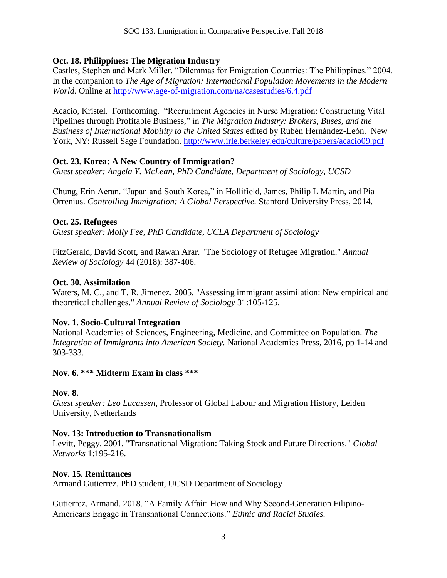# **Oct. 18. Philippines: The Migration Industry**

Castles, Stephen and Mark Miller. "Dilemmas for Emigration Countries: The Philippines." 2004. In the companion to *The Age of Migration: International Population Movements in the Modern World*. Online at<http://www.age-of-migration.com/na/casestudies/6.4.pdf>

Acacio, Kristel. Forthcoming. "Recruitment Agencies in Nurse Migration: Constructing Vital Pipelines through Profitable Business," in *The Migration Industry: Brokers, Buses, and the Business of International Mobility to the United States* edited by Rubén Hernández-León. New York, NY: Russell Sage Foundation.<http://www.irle.berkeley.edu/culture/papers/acacio09.pdf>

# **Oct. 23. Korea: A New Country of Immigration?**

*Guest speaker: Angela Y. McLean, PhD Candidate, Department of Sociology, UCSD*

Chung, Erin Aeran. "Japan and South Korea," in Hollifield, James, Philip L Martin, and Pia Orrenius. *Controlling Immigration: A Global Perspective.* Stanford University Press, 2014.

# **Oct. 25. Refugees**

*Guest speaker: Molly Fee, PhD Candidate, UCLA Department of Sociology*

FitzGerald, David Scott, and Rawan Arar. "The Sociology of Refugee Migration." *Annual Review of Sociology* 44 (2018): 387-406.

#### **Oct. 30. Assimilation**

Waters, M. C., and T. R. Jimenez. 2005. "Assessing immigrant assimilation: New empirical and theoretical challenges." *Annual Review of Sociology* 31:105-125.

# **Nov. 1. Socio-Cultural Integration**

National Academies of Sciences, Engineering, Medicine, and Committee on Population. *The Integration of Immigrants into American Society.* National Academies Press, 2016, pp 1-14 and 303-333.

#### **Nov. 6. \*\*\* Midterm Exam in class \*\*\***

#### **Nov. 8.**

*Guest speaker: Leo Lucassen,* Professor of Global Labour and Migration History, Leiden University, Netherlands

# **Nov. 13: Introduction to Transnationalism**

Levitt, Peggy. 2001. "Transnational Migration: Taking Stock and Future Directions." *Global Networks* 1:195-216.

#### **Nov. 15. Remittances**

Armand Gutierrez, PhD student, UCSD Department of Sociology

Gutierrez, Armand. 2018. "A Family Affair: How and Why Second-Generation Filipino-Americans Engage in Transnational Connections." *Ethnic and Racial Studies.*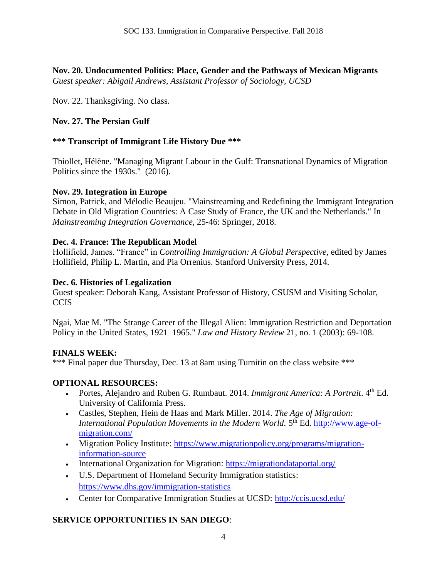**Nov. 20. [Undocumented Politics: Place, Gender and the Pathways of Mexican Migrants](https://www.ucpress.edu/book.php?isbn=9780520299979)** *Guest speaker: Abigail Andrews, Assistant Professor of Sociology, UCSD*

Nov. 22. Thanksgiving. No class.

# **Nov. 27. The Persian Gulf**

# **\*\*\* Transcript of Immigrant Life History Due \*\*\***

Thiollet, Hélène. "Managing Migrant Labour in the Gulf: Transnational Dynamics of Migration Politics since the 1930s." (2016).

# **Nov. 29. Integration in Europe**

Simon, Patrick, and Mélodie Beaujeu. "Mainstreaming and Redefining the Immigrant Integration Debate in Old Migration Countries: A Case Study of France, the UK and the Netherlands." In *Mainstreaming Integration Governance*, 25-46: Springer, 2018.

# **Dec. 4. France: The Republican Model**

Hollifield, James. "France" in *Controlling Immigration: A Global Perspective,* edited by James Hollifield, Philip L. Martin, and Pia Orrenius. Stanford University Press, 2014.

# **Dec. 6. Histories of Legalization**

Guest speaker: Deborah Kang, Assistant Professor of History, CSUSM and Visiting Scholar, **CCIS** 

Ngai, Mae M. "The Strange Career of the Illegal Alien: Immigration Restriction and Deportation Policy in the United States, 1921–1965." *Law and History Review* 21, no. 1 (2003): 69-108.

# **FINALS WEEK:**

\*\*\* Final paper due Thursday, Dec. 13 at 8am using Turnitin on the class website \*\*\*

# **OPTIONAL RESOURCES:**

- Portes, Alejandro and Ruben G. Rumbaut. 2014. *Immigrant America: A Portrait*. 4<sup>th</sup> Ed. University of California Press.
- Castles, Stephen, Hein de Haas and Mark Miller. 2014. *The Age of Migration:*  International Population Movements in the Modern World. 5<sup>th</sup> Ed. [http://www.age-of](http://www.age-of-migration.com/)[migration.com/](http://www.age-of-migration.com/)
- Migration Policy Institute: [https://www.migrationpolicy.org/programs/migration](https://www.migrationpolicy.org/programs/migration-information-source)[information-source](https://www.migrationpolicy.org/programs/migration-information-source)
- International Organization for Migration:<https://migrationdataportal.org/>
- U.S. Department of Homeland Security Immigration statistics: <https://www.dhs.gov/immigration-statistics>
- Center for Comparative Immigration Studies at UCSD:<http://ccis.ucsd.edu/>

# **SERVICE OPPORTUNITIES IN SAN DIEGO**: